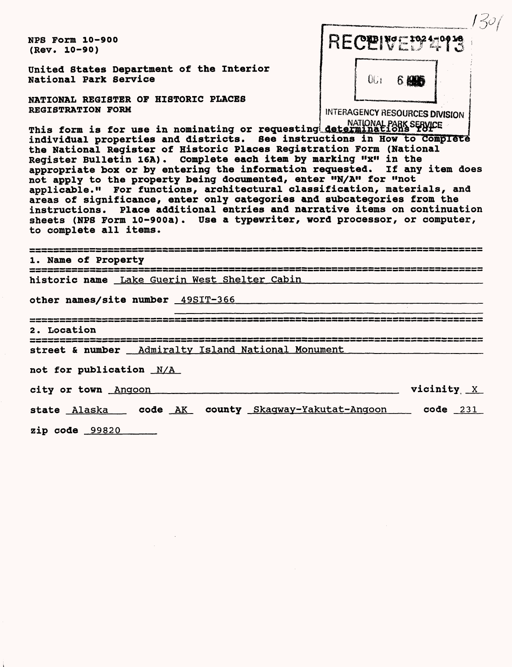NPS Form 10-900 (Rev. 10-90)

United States Department of the Interior National Park Service

NATIONAL REGISTER OF HISTORIC PLACES REGISTRATION FORM

RECEIVE 19242913 Obi INTERAGENCY RESOURCES DIVISION 1207

This form is for use in nominating or requesting determinations for individual properties and districts. See instructions in How to Complete the National Register of Historic Places Registration Form (National Register Bulletin 16A). complete each item by marking "x" in the appropriate box or by entering the information requested. If any item does not apply to the property being documented, enter "N/A" for "not applicable." For functions, architectural classification, materials, and areas of significance, enter only categories and subcategories from the instructions. Place additional entries and narrative items on continuation sheets (NPS Form 10-900a). Use a typewriter, word processor, or computer, to complete all items.

| 1. Name of Property                                         |            |
|-------------------------------------------------------------|------------|
| historic name Lake Guerin West Shelter Cabin                |            |
| other names/site number 49SIT-366                           |            |
| 2. Location                                                 |            |
| street & number Admiralty Island National Monument          |            |
| not for publication N/A                                     |            |
| city or town Angoon                                         | vicinity X |
| state Alaska code AK county Skaqway-Yakutat-Angoon code 231 |            |
| zip code 99820                                              |            |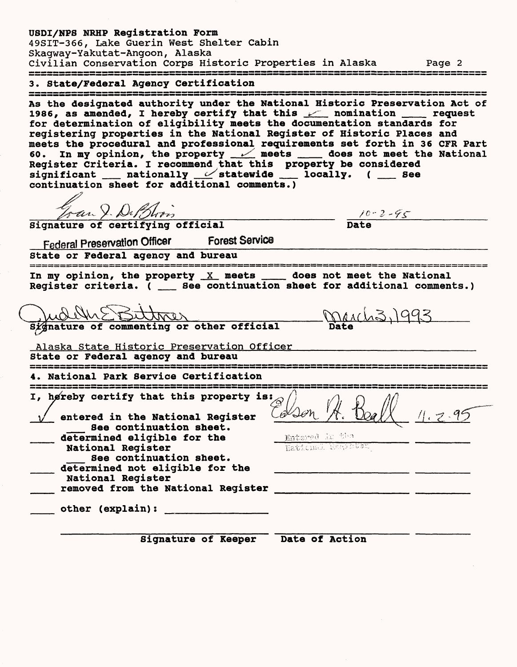| 3. State/Federal Agency Certification                                                                                                                                                                                                                                                                                                                                                                                                                                                                                                                                                      |                                                                                |
|--------------------------------------------------------------------------------------------------------------------------------------------------------------------------------------------------------------------------------------------------------------------------------------------------------------------------------------------------------------------------------------------------------------------------------------------------------------------------------------------------------------------------------------------------------------------------------------------|--------------------------------------------------------------------------------|
| As the designated authority under the National Historic Preservation Act of<br>1986, as amended, I hereby certify that this $\angle$ nomination _____ request<br>for determination of eligibility meets the documentation standards for<br>reqistering properties in the National Register of Historic Places and<br>meets the procedural and professional requirements set forth in 36 CFR Part<br>60.<br>Register Criteria. I recommend that this property be considered<br>significant mationally $\swarrow$ statewide hocally. ( _ See<br>continuation sheet for additional comments.) | In my opinion, the property $\angle$ meets $\angle$ does not meet the National |
| Gan & Deffloors<br>Signature of certifying official                                                                                                                                                                                                                                                                                                                                                                                                                                                                                                                                        | $rac{10-2-55}{\text{Data}}$                                                    |
|                                                                                                                                                                                                                                                                                                                                                                                                                                                                                                                                                                                            |                                                                                |
| <b>Federal Preservation Officer Forest Service</b><br>State or Federal agency and bureau                                                                                                                                                                                                                                                                                                                                                                                                                                                                                                   |                                                                                |
| In my opinion, the property $X$ meets $\_\_\_\$ does not meet the National                                                                                                                                                                                                                                                                                                                                                                                                                                                                                                                 |                                                                                |
| Judelle Suttre or other official<br>Alaska State Historic Preservation Officer<br>State or Federal agency and bureau                                                                                                                                                                                                                                                                                                                                                                                                                                                                       | <u> March3, 1993</u>                                                           |
| 4. National Park Service Certification                                                                                                                                                                                                                                                                                                                                                                                                                                                                                                                                                     |                                                                                |
|                                                                                                                                                                                                                                                                                                                                                                                                                                                                                                                                                                                            |                                                                                |
| I, hereby certify that this property is: $\alpha$ and $\alpha$ and $\alpha$<br>entered in the National Register<br>See continuation sheet.<br>determined eligible for the<br>National Register<br>See continuation sheet.                                                                                                                                                                                                                                                                                                                                                                  | 11.2.95<br>Entered in the<br>Hatithad Regional                                 |

 $\hat{A}$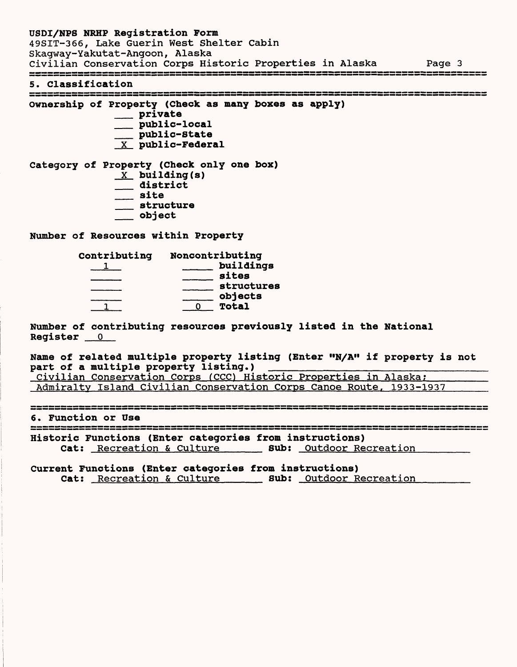**USDI/NPS NRHP Registration Form** 49SIT-366, Lake Guerin West Shelter Cabin Skagway-Yakutat-Angoon, Alaska Civilian Conservation Corps Historic Properties in Alaska Page 3 **5. Classification ownership of Property (Check as many boxes as apply) \_\_ private \_\_ public-local \_\_ public-state X public-Federal Category of Property (Check only one box) X building(s) \_\_ district \_\_ site \_\_ structure \_\_ object Number of Resources within Property**

| Contributing | Noncontributing |  |  |
|--------------|-----------------|--|--|
|              | buildings       |  |  |
|              | sites           |  |  |
|              | structures      |  |  |
|              | objects         |  |  |
|              | Total           |  |  |

**Number of contributing resources previously listed in the National Register 0**

**Name of related multiple property listing (Enter "N/A" if property is not part of a multiple property listing.)**

| Civilian Conservation Corps (CCC) Historic Properties in Alaska;    |  |  |  |
|---------------------------------------------------------------------|--|--|--|
| Admiralty Island Civilian Conservation Corps Canoe Route, 1933-1937 |  |  |  |

**6. Function or Use Historic Functions (Enter categories from instructions)** Cat: Recreation & Culture 8ub: Outdoor Recreation

**Current Functions (Enter categories from instructions) Cats** Recreation & Culture\_\_\_\_\_ **Subs** Outdoor Recreation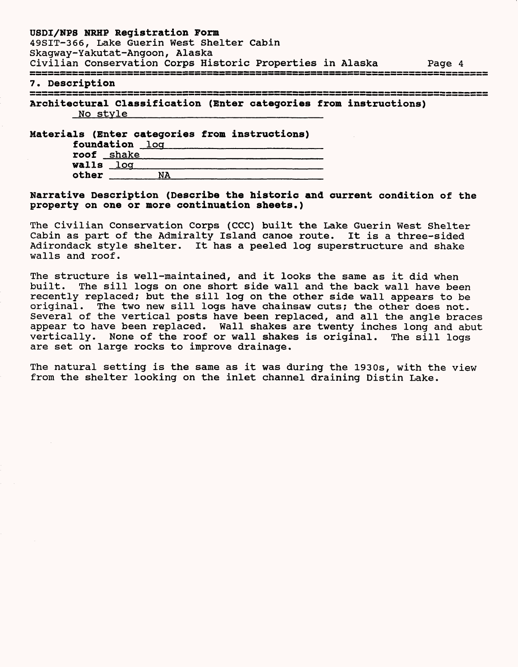| USDI/NPS NRHP Registration Form                           |        |
|-----------------------------------------------------------|--------|
| 49SIT-366, Lake Guerin West Shelter Cabin                 |        |
| Skaqway-Yakutat-Angoon, Alaska                            |        |
| Civilian Conservation Corps Historic Properties in Alaska | Page 4 |
| 7. Description                                            |        |
|                                                           |        |

Architectural Classification (Enter categories from instructions) No style\_\_\_\_\_\_\_\_\_\_\_\_\_\_\_\_\_\_\_\_\_\_\_\_\_\_\_\_\_\_

Materials (Enter categories from instructions)

| foundation       |            | $1$ oq |  |  |  |
|------------------|------------|--------|--|--|--|
|                  | roof shake |        |  |  |  |
| <b>walls</b> log |            |        |  |  |  |
| <b>other</b>     |            | NA     |  |  |  |
|                  |            |        |  |  |  |

## Narrative Description (Describe the historic and current condition of the property on one or more continuation sheets.)

The Civilian Conservation Corps (CCC) built the Lake Guerin West Shelter Cabin as part of the Admiralty Island canoe route. It is a three-sided Adirondack style shelter. It has a peeled log superstructure and shake walls and roof.

The structure is well-maintained, and it looks the same as it did when built. The sill logs on one short side wall and the back wall have been recently replaced; but the sill log on the other side wall appears to be original. The two new sill logs have chainsaw cuts; the other does not. Several of the vertical posts have been replaced, and all the angle braces appear to have been replaced. Wall shakes are twenty inches long and abut vertically. None of the roof or wall shakes is original. The sill logs are set on large rocks to improve drainage.

The natural setting is the same as it was during the 1930s, with the view from the shelter looking on the inlet channel draining Distin Lake.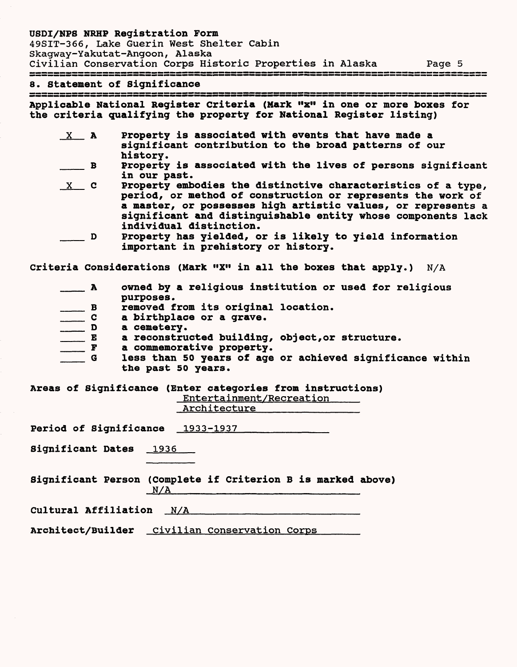|                                                                                 | USDI/NPS NRHP Registration Form<br>49SIT-366, Lake Guerin West Shelter Cabin<br>Skagway-Yakutat-Angoon, Alaska<br>Civilian Conservation Corps Historic Properties in Alaska<br>Page 5                                                                                                                                                                                              |
|---------------------------------------------------------------------------------|------------------------------------------------------------------------------------------------------------------------------------------------------------------------------------------------------------------------------------------------------------------------------------------------------------------------------------------------------------------------------------|
|                                                                                 | ۔<br>اس کی بیٹھ پر کا میرے مالک انتقادات کی میں باتک ہیں جسے بنات میں چین میں کی بیٹھ سے بیٹھ میں بیٹھ میں بنات میں<br>اس کی بیٹھ میں میں بنات میں میں بھی میں میں میں میں بنات بیٹھ میں بنات بھی بیٹھ ایس میں میں اس میں بھی جس می<br>8. Statement of Significance                                                                                                                |
|                                                                                 | اللہ کہ اس کا اللہ کر کر اس کے مطابق میں اس کے لیے اس کے بعد میں اس کے مطابق کے مطابق کا اس کے بعد میں اس کے ح<br>اس کے اس میں بھی بہت کا ایک کی بیک میں بھی اس کے بعد ایک میں بھی کہ بھی لیک ایک سے بھی سے بھی سے میں کہ اس کے<br>Applicable National Register Criteria (Mark "x" in one or more boxes for<br>the criteria qualifying the property for National Register listing) |
| $X$ $A$                                                                         | Property is associated with events that have made a<br>significant contribution to the broad patterns of our<br>history.                                                                                                                                                                                                                                                           |
| $\overline{\phantom{a}}$ B<br>$X$ c                                             | Property is associated with the lives of persons significant<br>in our past.<br>Property embodies the distinctive characteristics of a type,                                                                                                                                                                                                                                       |
|                                                                                 | period, or method of construction or represents the work of<br>a master, or possesses high artistic values, or represents a<br>significant and distinguishable entity whose components lack<br>individual distinction.                                                                                                                                                             |
| $\overline{\phantom{a}}$                                                        | Property has yielded, or is likely to yield information<br>important in prehistory or history.                                                                                                                                                                                                                                                                                     |
|                                                                                 | Criteria Considerations (Mark "X" in all the boxes that apply.) $N/A$                                                                                                                                                                                                                                                                                                              |
| $\overline{\phantom{a}}$ $\overline{\phantom{a}}$ $\overline{\phantom{a}}$      | owned by a religious institution or used for religious<br>purposes.                                                                                                                                                                                                                                                                                                                |
| $\qquad \qquad \bullet$                                                         | removed from its original location.                                                                                                                                                                                                                                                                                                                                                |
| $\overline{\phantom{a}}$ c<br>$\overline{\phantom{0}}$ $\overline{\phantom{0}}$ | a birthplace or a grave.<br>a cemetery.                                                                                                                                                                                                                                                                                                                                            |
| $\frac{1}{\sqrt{2}}$<br>$\overline{\phantom{a}}$ $\overline{\phantom{a}}$       | a reconstructed building, object, or structure.<br>a commemorative property.                                                                                                                                                                                                                                                                                                       |
| $\overline{\phantom{a}}$ G                                                      | less than 50 years of age or achieved significance within<br>the past 50 years.                                                                                                                                                                                                                                                                                                    |
|                                                                                 | Areas of Significance (Enter categories from instructions)<br>Entertainment/Recreation<br>Architecture                                                                                                                                                                                                                                                                             |
|                                                                                 | Period of Significance 1933-1937                                                                                                                                                                                                                                                                                                                                                   |
| Significant Dates 1936                                                          |                                                                                                                                                                                                                                                                                                                                                                                    |
|                                                                                 | Significant Person (Complete if Criterion B is marked above)<br>N/A                                                                                                                                                                                                                                                                                                                |
|                                                                                 | Cultural Affiliation N/A No. 2011                                                                                                                                                                                                                                                                                                                                                  |
|                                                                                 | Architect/Builder Civilian Conservation Corps                                                                                                                                                                                                                                                                                                                                      |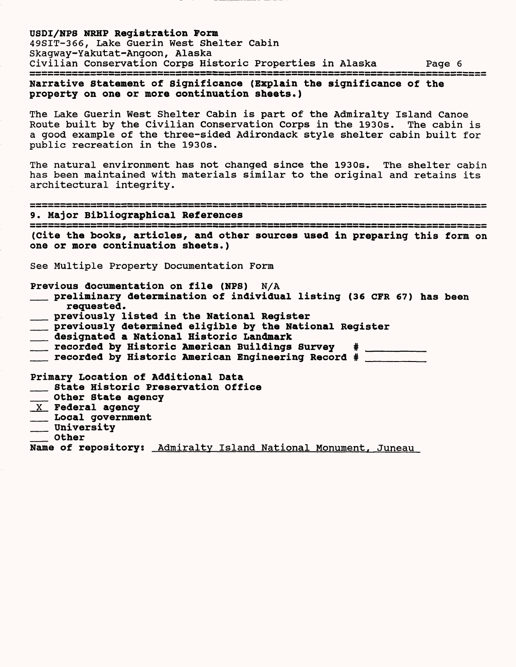USDI/NPS NRHP Registration Form 49SIT-366, Lake Guerin West Shelter Cabin Skagway-Yakutat-Angoon, Alaska Civilian Conservation Corps Historic Properties in Alaska Page 6 Narrative statement of significance (Explain the significance of the property on one or more continuation sheets.) The Lake Guerin West Shelter Cabin is part of the Admiralty Island Canoe Route built by the Civilian Conservation Corps in the 1930s. The cabin is a good example of the three-sided Adirondack style shelter cabin built for public recreation in the 1930s. The natural environment has not changed since the 1930s. The shelter cabin has been maintained with materials similar to the original and retains its architectural integrity. 9. Major Bibliographical References (Cite the books, articles, and other sources used in preparing this form on one or more continuation sheets.) See Multiple Property Documentation Form Previous documentation on file (NPS) N/A \_\_ preliminary determination of individual listing (36 CFR 67) has been requested. \_\_ previously listed in the National Register \_\_ previously determined eligible by the National Register \_\_ designated a National Historic Landmark \_\_ recorded by Historic American Buildings Survey # \_\_\_\_\_\_\_  $\frac{1}{2}$  recorded by Historic American Engineering Record #  $\frac{1}{2}$ Primary Location of Additional Data \_\_ State Historic Preservation Office \_\_ Other State agency X Federal agency \_\_ Local government \_\_ University Other Name of repository: Admiralty Island National Monument, Juneau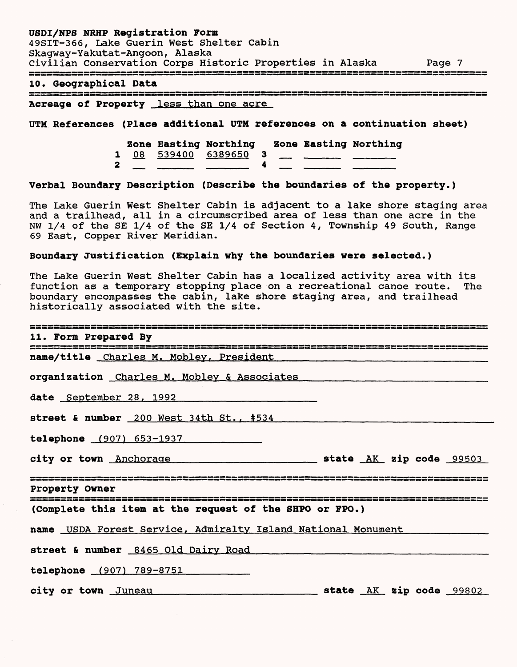USDI/NPS NRHP Registration Form 49SIT-366, Lake Guerin West Shelter Cabin Skagway-Yakutat-Angoon, Alaska Civilian Conservation Corps Historic Properties in Alaska Page 7

## 10. Geographical Data

Acreage of Property less than one acre

UTM References (Place additional UTM references on a continuation sheet)

Zone Easting Northing Zone Easting Northing 1 08 539400 6389650 3 \_ \_\_\_\_\_ \_\_\_\_\_\_  $\frac{1}{2}$   $\frac{08}{-}$   $\frac{539400}{-}$   $\frac{6389650}{-}$   $\frac{3}{4}$   $\frac{1}{-}$   $\frac{08}{-}$   $\frac{539400}{-}$ 

Verbal Boundary Description (Describe the boundaries of the property.)

The Lake Guerin West Shelter Cabin is adjacent to a lake shore staging area and a trailhead, all in a circumscribed area of less than one acre in the NW 1/4 of the SE 1/4 of the SE 1/4 of Section 4, Township 49 South, Range 69 East, Copper River Meridian.

## Boundary Justification (Explain why the boundaries were selected.)

The Lake Guerin West Shelter Cabin has a localized activity area with its function as a temporary stopping place on a recreational canoe route. The boundary encompasses the cabin, lake shore staging area, and trailhead historically associated with the site.

## 

11. Form Prepared By name/title Charles M. Mobley, President

organization Charles M. Mobley & Associates

date September 28, 1992

street & number 200 West 34th St.. #534

telephone (907) 653-1937

city or town Anchorage and State AK zip code 99503

Property Owner (Complete this item at the request of the SHPO or FPO.)

name USDA Forest Service. Admiralty Island National Monument

street & number 8465 Old Dairy Road

telephone (907) 789-8751

city or town Juneau\_\_\_\_\_\_\_\_\_\_\_\_\_\_\_\_\_\_\_\_\_\_ state AK zip code 99802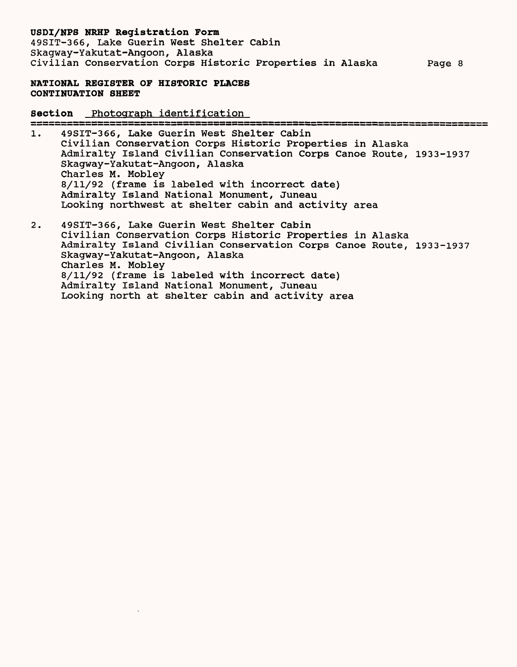**NATIONAL REGISTER OF HISTORIC PLACES CONTINUATION SHEET**

Section Photograph identification

- 49SIT-366, Lake Guerin West Shelter Cabin  $1.$ Civilian Conservation Corps Historic Properties in Alaska Admiralty Island Civilian Conservation Corps Canoe Route, 1933-1937 Skagway-Yakutat-Angoon, Alaska Charles M. Mobley 8/11/92 (frame is labeled with incorrect date) Admiralty Island National Monument, Juneau Looking northwest at shelter cabin and activity area
- 49SIT-366, Lake Guerin West Shelter Cabin  $2.$ Civilian Conservation Corps Historic Properties in Alaska Admiralty Island Civilian Conservation Corps Canoe Route, 1933-1937 Skagway-Yakutat-Angoon, Alaska Charles M. Mobley 8/11/92 (frame is labeled with incorrect date) Admiralty Island National Monument, Juneau Looking north at shelter cabin and activity area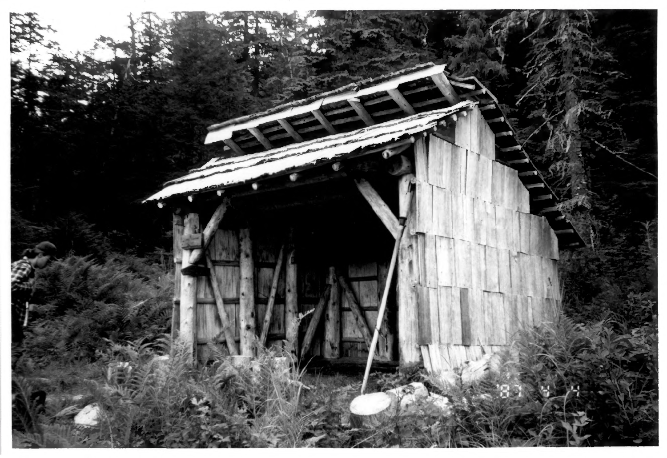